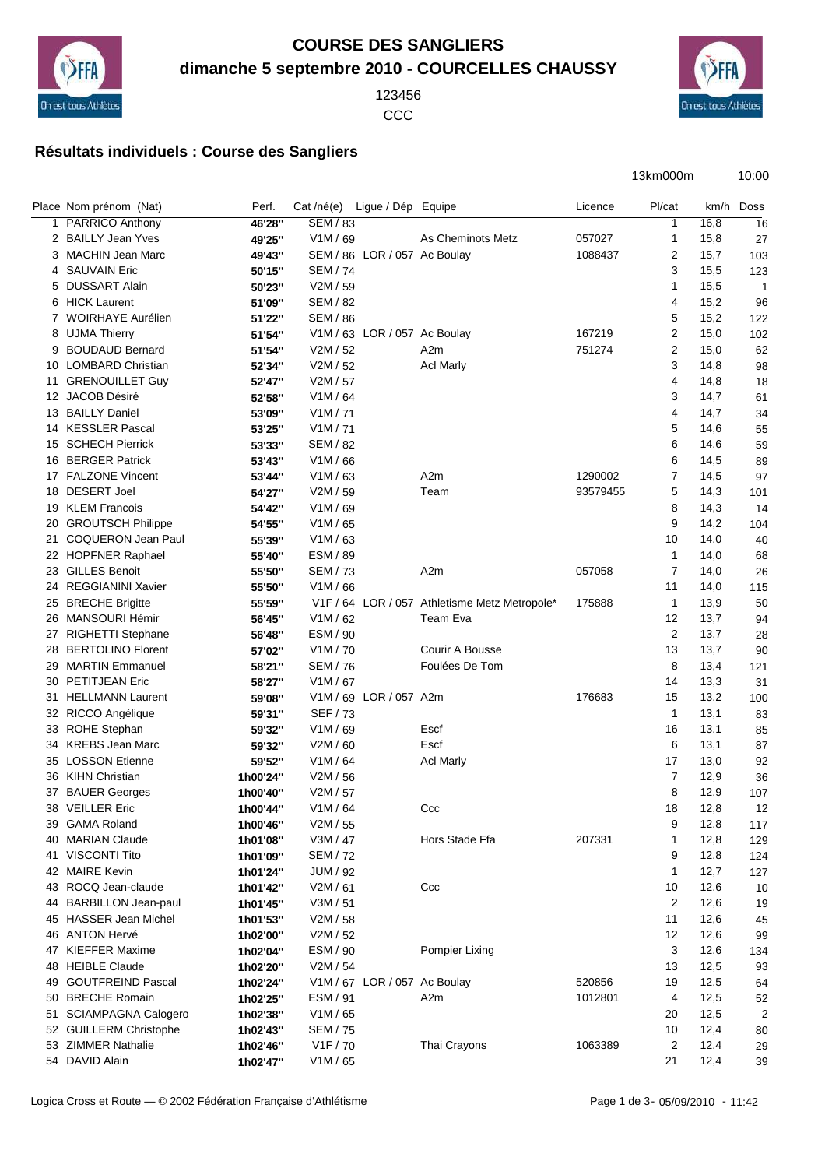## **COURSE DES SANGLIERS dimanche 5 septembre 2010 - COURCELLES CHAUSSY**



## **CCC**



13km000m 10:00

## **Résultats individuels : Course des Sangliers**

|    | Place Nom prénom (Nat)    | Perf.    | $Cat/n\acute{e}$ (e)  | Ligue / Dép Equipe           |                                               | Licence  | Pl/cat         |      | km/h Doss    |
|----|---------------------------|----------|-----------------------|------------------------------|-----------------------------------------------|----------|----------------|------|--------------|
|    | 1 PARRICO Anthony         | 46'28"   | <b>SEM / 83</b>       |                              |                                               |          | 1              | 16,8 | 16           |
|    | 2 BAILLY Jean Yves        | 49'25"   | V1M/69                |                              | As Cheminots Metz                             | 057027   | 1              | 15,8 | 27           |
|    | 3 MACHIN Jean Marc        | 49'43"   |                       | SEM / 86 LOR / 057 Ac Boulay |                                               | 1088437  | 2              | 15,7 | 103          |
|    | 4 SAUVAIN Eric            | 50'15"   | <b>SEM / 74</b>       |                              |                                               |          | 3              | 15,5 | 123          |
| 5  | <b>DUSSART Alain</b>      | 50'23"   | V2M / 59              |                              |                                               |          | 1              | 15,5 | $\mathbf{1}$ |
| 6  | <b>HICK Laurent</b>       | 51'09"   | <b>SEM / 82</b>       |                              |                                               |          | 4              | 15,2 | 96           |
|    | 7 WOIRHAYE Aurélien       | 51'22"   | <b>SEM / 86</b>       |                              |                                               |          | 5              | 15,2 | 122          |
| 8  | <b>UJMA Thierry</b>       | 51'54"   |                       | V1M / 63 LOR / 057 Ac Boulay |                                               | 167219   | 2              | 15,0 | 102          |
| 9  | <b>BOUDAUD Bernard</b>    | 51'54"   | V2M / 52              |                              | A2m                                           | 751274   | 2              | 15,0 | 62           |
| 10 | <b>LOMBARD Christian</b>  | 52'34"   | V2M / 52              |                              | <b>Acl Marly</b>                              |          | 3              | 14,8 | 98           |
|    | 11 GRENOUILLET Guy        | 52'47"   | V2M / 57              |                              |                                               |          | 4              | 14,8 | 18           |
|    | 12 JACOB Désiré           | 52'58"   | V1M / 64              |                              |                                               |          | 3              | 14,7 | 61           |
|    | 13 BAILLY Daniel          | 53'09"   | V1M / 71              |                              |                                               |          | 4              | 14,7 | 34           |
|    | 14 KESSLER Pascal         | 53'25"   | V1M / 71              |                              |                                               |          | 5              | 14,6 | 55           |
|    | 15 SCHECH Pierrick        | 53'33"   | <b>SEM / 82</b>       |                              |                                               |          | 6              | 14,6 | 59           |
|    | 16 BERGER Patrick         | 53'43"   | V1M/66                |                              |                                               |          | 6              | 14,5 | 89           |
|    | 17 FALZONE Vincent        | 53'44"   | V1M / 63              |                              | A <sub>2</sub> m                              | 1290002  | $\overline{7}$ | 14,5 | 97           |
| 18 | <b>DESERT Joel</b>        | 54'27"   | V2M / 59              |                              | Team                                          | 93579455 | 5              | 14,3 | 101          |
|    | 19 KLEM Francois          | 54'42"   | V1M/69                |                              |                                               |          | 8              | 14,3 | 14           |
| 20 | <b>GROUTSCH Philippe</b>  | 54'55"   | V1M / 65              |                              |                                               |          | 9              | 14,2 |              |
| 21 | <b>COQUERON Jean Paul</b> |          | V1M/63                |                              |                                               |          | 10             |      | 104<br>40    |
|    |                           | 55'39"   | ESM / 89              |                              |                                               |          |                | 14,0 |              |
|    | 22 HOPFNER Raphael        | 55'40"   |                       |                              |                                               |          | 1              | 14,0 | 68           |
| 23 | <b>GILLES Benoit</b>      | 55'50"   | <b>SEM / 73</b>       |                              | A <sub>2m</sub>                               | 057058   | 7              | 14,0 | 26           |
|    | 24 REGGIANINI Xavier      | 55'50"   | V1M/66                |                              |                                               |          | 11             | 14,0 | 115          |
|    | 25 BRECHE Brigitte        | 55'59"   |                       |                              | V1F / 64 LOR / 057 Athletisme Metz Metropole* | 175888   | 1              | 13,9 | 50           |
| 26 | MANSOURI Hémir            | 56'45"   | V1M/62                |                              | Team Eva                                      |          | 12             | 13,7 | 94           |
|    | 27 RIGHETTI Stephane      | 56'48"   | ESM / 90              |                              |                                               |          | 2              | 13,7 | 28           |
| 28 | <b>BERTOLINO Florent</b>  | 57'02"   | V1M / 70              |                              | Courir A Bousse                               |          | 13             | 13,7 | 90           |
| 29 | <b>MARTIN Emmanuel</b>    | 58'21"   | <b>SEM / 76</b>       |                              | Foulées De Tom                                |          | 8              | 13,4 | 121          |
| 30 | <b>PETITJEAN Eric</b>     | 58'27"   | V1M / 67              |                              |                                               |          | 14             | 13,3 | 31           |
|    | 31 HELLMANN Laurent       | 59'08"   |                       | V1M / 69 LOR / 057 A2m       |                                               | 176683   | 15             | 13,2 | 100          |
|    | 32 RICCO Angélique        | 59'31"   | SEF / 73              |                              |                                               |          | 1              | 13,1 | 83           |
|    | 33 ROHE Stephan           | 59'32"   | V1M/69                |                              | Escf                                          |          | 16             | 13,1 | 85           |
|    | 34 KREBS Jean Marc        | 59'32"   | V2M / 60              |                              | Escf                                          |          | 6              | 13,1 | 87           |
|    | 35 LOSSON Etienne         | 59'52"   | V1M / 64              |                              | <b>Acl Marly</b>                              |          | 17             | 13,0 | 92           |
|    | 36 KIHN Christian         | 1h00'24" | V2M / 56              |                              |                                               |          | $\overline{7}$ | 12,9 | 36           |
|    | 37 BAUER Georges          | 1h00'40" | V2M / 57              |                              |                                               |          | 8              | 12,9 | 107          |
|    | 38 VEILLER Eric           | 1h00'44" | V1M / 64              |                              | Ccc                                           |          | 18             | 12,8 | 12           |
|    | 39 GAMA Roland            | 1h00'46" | V2M / 55              |                              |                                               |          | 9              | 12,8 | 117          |
|    | 40 MARIAN Claude          | 1h01'08" | V3M / 47              |                              | Hors Stade Ffa                                | 207331   | 1              | 12,8 | 129          |
|    | 41 VISCONTI Tito          | 1h01'09" | <b>SEM / 72</b>       |                              |                                               |          | 9              | 12,8 | 124          |
|    | 42 MAIRE Kevin            | 1h01'24" | JUM / 92              |                              |                                               |          | 1              | 12,7 | 127          |
|    | 43 ROCQ Jean-claude       | 1h01'42" | V2M / 61              |                              | Ccc                                           |          | 10             | 12,6 | 10           |
|    | 44 BARBILLON Jean-paul    | 1h01'45" | V3M / 51              |                              |                                               |          | 2              | 12,6 | 19           |
|    | 45 HASSER Jean Michel     | 1h01'53" | V2M / 58              |                              |                                               |          | 11             | 12,6 | 45           |
|    | 46 ANTON Hervé            | 1h02'00" | V2M / 52              |                              |                                               |          | 12             | 12,6 | 99           |
|    | 47 KIEFFER Maxime         | 1h02'04" | ESM / 90              |                              | Pompier Lixing                                |          | 3              | 12,6 | 134          |
|    | 48 HEIBLE Claude          | 1h02'20" | V2M / 54              |                              |                                               |          | 13             | 12,5 | 93           |
|    | 49 GOUTFREIND Pascal      | 1h02'24" |                       | V1M / 67 LOR / 057 Ac Boulay |                                               | 520856   | 19             | 12,5 | 64           |
|    | 50 BRECHE Romain          | 1h02'25" | ESM / 91              |                              | A <sub>2m</sub>                               | 1012801  | 4              | 12,5 | 52           |
|    | 51 SCIAMPAGNA Calogero    | 1h02'38" | V1M / 65              |                              |                                               |          | 20             | 12,5 | 2            |
|    | 52 GUILLERM Christophe    | 1h02'43" | <b>SEM / 75</b>       |                              |                                               |          | 10             | 12,4 | 80           |
|    | 53 ZIMMER Nathalie        | 1h02'46" | V <sub>1</sub> F / 70 |                              | Thai Crayons                                  | 1063389  | 2              | 12,4 | 29           |
|    | 54 DAVID Alain            | 1h02'47" | V1M / 65              |                              |                                               |          | 21             | 12,4 | 39           |
|    |                           |          |                       |                              |                                               |          |                |      |              |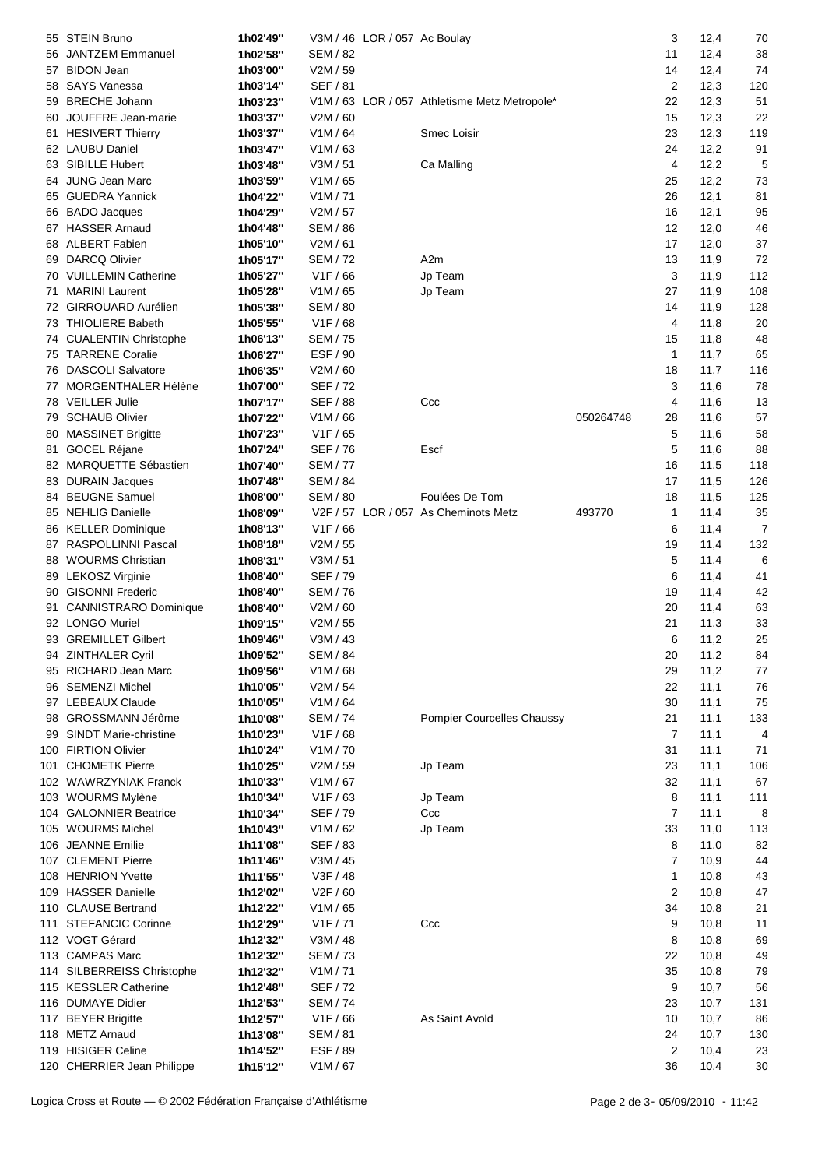|    | 55 STEIN Bruno             | 1h02'49" |                       | V3M / 46 LOR / 057 Ac Boulay |                                               |           | 3              | 12,4 | 70  |
|----|----------------------------|----------|-----------------------|------------------------------|-----------------------------------------------|-----------|----------------|------|-----|
|    | 56 JANTZEM Emmanuel        | 1h02'58" | <b>SEM / 82</b>       |                              |                                               |           | 11             | 12,4 | 38  |
|    | 57 BIDON Jean              | 1h03'00" | V2M / 59              |                              |                                               |           | 14             | 12,4 | 74  |
|    | 58 SAYS Vanessa            | 1h03'14" | <b>SEF / 81</b>       |                              |                                               |           | 2              | 12,3 | 120 |
|    | 59 BRECHE Johann           | 1h03'23" |                       |                              | V1M / 63 LOR / 057 Athletisme Metz Metropole* |           | 22             | 12,3 | 51  |
|    | 60 JOUFFRE Jean-marie      | 1h03'37" | V2M / 60              |                              |                                               |           | 15             | 12,3 | 22  |
|    | 61 HESIVERT Thierry        | 1h03'37" | V1M/64                |                              | Smec Loisir                                   |           | 23             | 12,3 | 119 |
|    | 62 LAUBU Daniel            | 1h03'47" | V1M / 63              |                              |                                               |           | 24             | 12,2 | 91  |
|    | 63 SIBILLE Hubert          | 1h03'48" | V3M / 51              |                              | Ca Malling                                    |           | 4              | 12,2 | 5   |
|    | 64 JUNG Jean Marc          | 1h03'59" | V1M/65                |                              |                                               |           | 25             | 12,2 | 73  |
|    | 65 GUEDRA Yannick          | 1h04'22" | V1M / 71              |                              |                                               |           | 26             | 12,1 | 81  |
|    | 66 BADO Jacques            | 1h04'29" | V2M / 57              |                              |                                               |           | 16             | 12,1 | 95  |
|    | 67 HASSER Arnaud           | 1h04'48" | <b>SEM / 86</b>       |                              |                                               |           | 12             | 12,0 | 46  |
|    | 68 ALBERT Fabien           | 1h05'10" | V2M / 61              |                              |                                               |           | 17             | 12,0 | 37  |
|    | 69 DARCQ Olivier           | 1h05'17" | <b>SEM / 72</b>       |                              | A <sub>2</sub> m                              |           | 13             | 11,9 | 72  |
|    | 70 VUILLEMIN Catherine     | 1h05'27" | V1F/66                |                              | Jp Team                                       |           | 3              | 11,9 | 112 |
|    |                            |          |                       |                              |                                               |           |                |      |     |
| 71 | <b>MARINI Laurent</b>      | 1h05'28" | V1M/65                |                              | Jp Team                                       |           | 27             | 11,9 | 108 |
|    | 72 GIRROUARD Aurélien      | 1h05'38" | <b>SEM / 80</b>       |                              |                                               |           | 14             | 11,9 | 128 |
|    | 73 THIOLIERE Babeth        | 1h05'55" | V1F / 68              |                              |                                               |           | 4              | 11,8 | 20  |
|    | 74 CUALENTIN Christophe    | 1h06'13" | SEM / 75              |                              |                                               |           | 15             | 11,8 | 48  |
|    | 75 TARRENE Coralie         | 1h06'27" | ESF / 90              |                              |                                               |           | 1              | 11,7 | 65  |
|    | 76 DASCOLI Salvatore       | 1h06'35" | V2M / 60              |                              |                                               |           | 18             | 11,7 | 116 |
|    | 77 MORGENTHALER Hélène     | 1h07'00" | <b>SEF / 72</b>       |                              |                                               |           | 3              | 11,6 | 78  |
|    | 78 VEILLER Julie           | 1h07'17" | <b>SEF / 88</b>       |                              | Ccc                                           |           | 4              | 11,6 | 13  |
|    | 79 SCHAUB Olivier          | 1h07'22" | V1M / 66              |                              |                                               | 050264748 | 28             | 11,6 | 57  |
|    | 80 MASSINET Brigitte       | 1h07'23" | V1F/65                |                              |                                               |           | 5              | 11,6 | 58  |
|    | 81 GOCEL Réjane            | 1h07'24" | <b>SEF / 76</b>       |                              | Escf                                          |           | 5              | 11,6 | 88  |
|    | 82 MARQUETTE Sébastien     | 1h07'40" | <b>SEM / 77</b>       |                              |                                               |           | 16             | 11,5 | 118 |
|    | 83 DURAIN Jacques          | 1h07'48" | <b>SEM / 84</b>       |                              |                                               |           | 17             | 11,5 | 126 |
|    | 84 BEUGNE Samuel           | 1h08'00" | <b>SEM / 80</b>       |                              | Foulées De Tom                                |           | 18             | 11,5 | 125 |
|    | 85 NEHLIG Danielle         | 1h08'09" |                       |                              | V2F / 57 LOR / 057 As Cheminots Metz          | 493770    | 1              | 11,4 | 35  |
|    | 86 KELLER Dominique        | 1h08'13" | V1F/66                |                              |                                               |           | 6              | 11,4 | 7   |
|    | 87 RASPOLLINNI Pascal      | 1h08'18" | V2M / 55              |                              |                                               |           | 19             | 11,4 | 132 |
|    | 88 WOURMS Christian        | 1h08'31" | V3M / 51              |                              |                                               |           | 5              | 11,4 | 6   |
|    | 89 LEKOSZ Virginie         | 1h08'40" | <b>SEF / 79</b>       |                              |                                               |           | 6              | 11,4 | 41  |
|    | 90 GISONNI Frederic        | 1h08'40" | <b>SEM / 76</b>       |                              |                                               |           | 19             | 11,4 | 42  |
|    | 91 CANNISTRARO Dominique   | 1h08'40" | V2M/60                |                              |                                               |           | 20             | 11,4 | 63  |
|    | 92 LONGO Muriel            | 1h09'15" | V2M / 55              |                              |                                               |           | 21             | 11,3 | 33  |
|    | 93 GREMILLET Gilbert       | 1h09'46" | V3M/43                |                              |                                               |           | 6              | 11,2 | 25  |
|    | 94 ZINTHALER Cyril         | 1h09'52" | <b>SEM / 84</b>       |                              |                                               |           | 20             | 11,2 | 84  |
|    | 95 RICHARD Jean Marc       | 1h09'56" | V1M / 68              |                              |                                               |           | 29             | 11,2 | 77  |
|    | 96 SEMENZI Michel          | 1h10'05" | V2M / 54              |                              |                                               |           | 22             | 11,1 | 76  |
|    | 97 LEBEAUX Claude          | 1h10'05" | V1M/64                |                              |                                               |           | 30             | 11,1 | 75  |
|    | 98 GROSSMANN Jérôme        | 1h10'08" | <b>SEM / 74</b>       |                              | <b>Pompier Courcelles Chaussy</b>             |           | 21             | 11,1 | 133 |
|    | 99 SINDT Marie-christine   | 1h10'23" | V1F/68                |                              |                                               |           | $\overline{7}$ | 11,1 | 4   |
|    | 100 FIRTION Olivier        | 1h10'24" | V <sub>1</sub> M / 70 |                              |                                               |           | 31             | 11,1 | 71  |
|    | 101 CHOMETK Pierre         | 1h10'25" | V2M / 59              |                              | Jp Team                                       |           | 23             | 11,1 | 106 |
|    | 102 WAWRZYNIAK Franck      | 1h10'33" | V1M/67                |                              |                                               |           | 32             | 11,1 | 67  |
|    | 103 WOURMS Mylène          | 1h10'34" | V1F/63                |                              | Jp Team                                       |           | 8              | 11,1 | 111 |
|    | 104 GALONNIER Beatrice     | 1h10'34" | SEF / 79              |                              | Ccc                                           |           | $\overline{7}$ | 11,1 | 8   |
|    | 105 WOURMS Michel          | 1h10'43" | V1M / 62              |                              | Jp Team                                       |           | 33             | 11,0 | 113 |
|    | 106 JEANNE Emilie          | 1h11'08" | SEF / 83              |                              |                                               |           | 8              | 11,0 | 82  |
|    | 107 CLEMENT Pierre         | 1h11'46" | V3M / 45              |                              |                                               |           | 7              | 10,9 | 44  |
|    | 108 HENRION Yvette         | 1h11'55" | V3F / 48              |                              |                                               |           | 1              | 10,8 | 43  |
|    | 109 HASSER Danielle        | 1h12'02" | V <sub>2</sub> F / 60 |                              |                                               |           | 2              | 10,8 | 47  |
|    | 110 CLAUSE Bertrand        | 1h12'22" | V1M / 65              |                              |                                               |           | 34             | 10,8 | 21  |
|    | 111 STEFANCIC Corinne      | 1h12'29" | V1F / 71              |                              | Ccc                                           |           | 9              | 10,8 | 11  |
|    | 112 VOGT Gérard            | 1h12'32" | V3M / 48              |                              |                                               |           | 8              | 10,8 | 69  |
|    | 113 CAMPAS Marc            | 1h12'32" | <b>SEM / 73</b>       |                              |                                               |           | 22             | 10,8 | 49  |
|    | 114 SILBERREISS Christophe | 1h12'32" | V1M / 71              |                              |                                               |           | 35             | 10,8 | 79  |
|    | 115 KESSLER Catherine      | 1h12'48" | <b>SEF / 72</b>       |                              |                                               |           | 9              | 10,7 | 56  |
|    | 116 DUMAYE Didier          | 1h12'53" | <b>SEM / 74</b>       |                              |                                               |           | 23             | 10,7 | 131 |
|    | 117 BEYER Brigitte         | 1h12'57" | V1F/66                |                              | As Saint Avold                                |           | 10             | 10,7 | 86  |
|    | 118 METZ Arnaud            | 1h13'08" | <b>SEM / 81</b>       |                              |                                               |           | 24             | 10,7 | 130 |
|    | 119 HISIGER Celine         | 1h14'52" | ESF / 89              |                              |                                               |           | 2              | 10,4 | 23  |
|    | 120 CHERRIER Jean Philippe | 1h15'12" | V1M / 67              |                              |                                               |           | 36             | 10,4 | 30  |